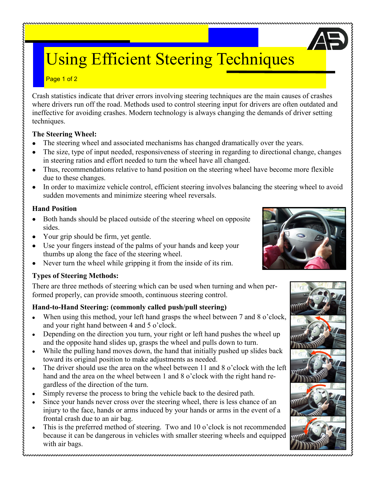# Using Efficient Steering Techniques

#### Page 1 of 2

Crash statistics indicate that driver errors involving steering techniques are the main causes of crashes where drivers run off the road. Methods used to control steering input for drivers are often outdated and ineffective for avoiding crashes. Modern technology is always changing the demands of driver setting techniques.

#### **The Steering Wheel:**

- The steering wheel and associated mechanisms has changed dramatically over the years.
- The size, type of input needed, responsiveness of steering in regarding to directional change, changes  $\bullet$ in steering ratios and effort needed to turn the wheel have all changed.
- Thus, recommendations relative to hand position on the steering wheel have become more flexible due to these changes.
- In order to maximize vehicle control, efficient steering involves balancing the steering wheel to avoid sudden movements and minimize steering wheel reversals.

## **Hand Position**

- $\bullet$ Both hands should be placed outside of the steering wheel on opposite sides.
- Your grip should be firm, yet gentle.
- Use your fingers instead of the palms of your hands and keep your thumbs up along the face of the steering wheel.
- Never turn the wheel while gripping it from the inside of its rim.  $\bullet$

## **Types of Steering Methods:**

There are three methods of steering which can be used when turning and when performed properly, can provide smooth, continuous steering control.

## **Hand-to-Hand Steering: (commonly called push/pull steering)**

- When using this method, your left hand grasps the wheel between 7 and 8 o'clock, and your right hand between 4 and 5 o'clock.
- Depending on the direction you turn, your right or left hand pushes the wheel up and the opposite hand slides up, grasps the wheel and pulls down to turn.
- While the pulling hand moves down, the hand that initially pushed up slides back toward its original position to make adjustments as needed.
- The driver should use the area on the wheel between 11 and 8 o'clock with the left hand and the area on the wheel between 1 and 8 o'clock with the right hand regardless of the direction of the turn.
- Simply reverse the process to bring the vehicle back to the desired path.
- Since your hands never cross over the steering wheel, there is less chance of an injury to the face, hands or arms induced by your hands or arms in the event of a frontal crash due to an air bag.
- This is the preferred method of steering. Two and 10 o'clock is not recommended because it can be dangerous in vehicles with smaller steering wheels and equipped with air bags.